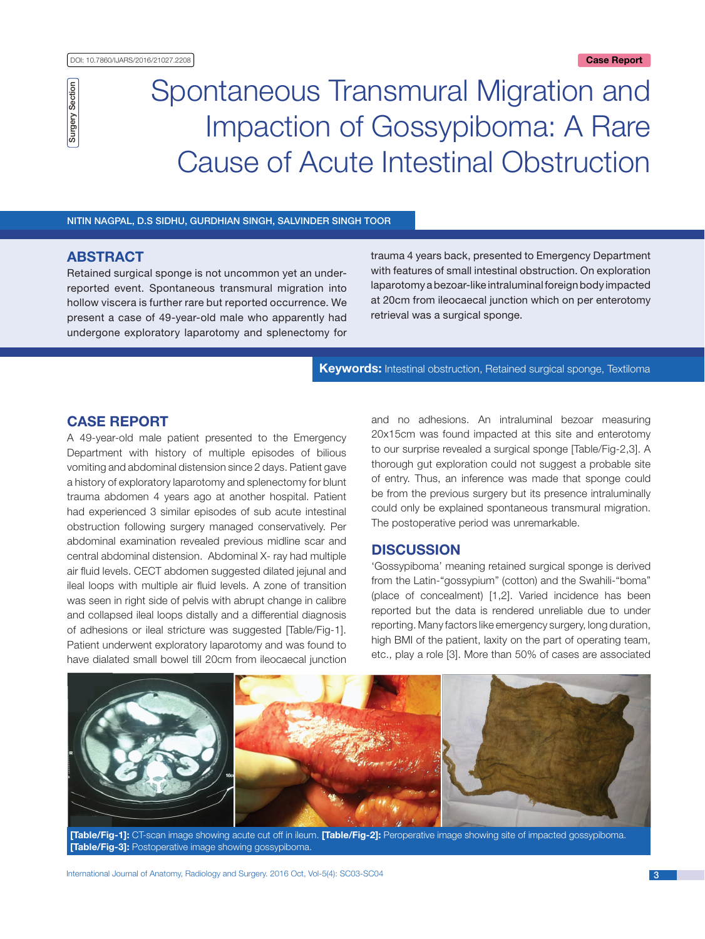# Spontaneous Transmural Migration and Impaction of Gossypiboma: A Rare Cause of Acute Intestinal Obstruction

## Nitin Nagpal, D.S Sidhu, Gurdhian Singh, Salvinder Singh Toor

## **ABSTRACT**

Surgery Section

**Surgery Section** 

Retained surgical sponge is not uncommon yet an underreported event. Spontaneous transmural migration into hollow viscera is further rare but reported occurrence. We present a case of 49-year-old male who apparently had undergone exploratory laparotomy and splenectomy for trauma 4 years back, presented to Emergency Department with features of small intestinal obstruction. On exploration laparotomy a bezoar-like intraluminal foreign body impacted at 20cm from ileocaecal junction which on per enterotomy retrieval was a surgical sponge.

**Keywords:** Intestinal obstruction, Retained surgical sponge, Textiloma

## **Case Report**

A 49-year-old male patient presented to the Emergency Department with history of multiple episodes of bilious vomiting and abdominal distension since 2 days. Patient gave a history of exploratory laparotomy and splenectomy for blunt trauma abdomen 4 years ago at another hospital. Patient had experienced 3 similar episodes of sub acute intestinal obstruction following surgery managed conservatively. Per abdominal examination revealed previous midline scar and central abdominal distension. Abdominal X- ray had multiple air fluid levels. CECT abdomen suggested dilated jejunal and ileal loops with multiple air fluid levels. A zone of transition was seen in right side of pelvis with abrupt change in calibre and collapsed ileal loops distally and a differential diagnosis of adhesions or ileal stricture was suggested [Table/Fig-1]. Patient underwent exploratory laparotomy and was found to have dialated small bowel till 20cm from ileocaecal junction and no adhesions. An intraluminal bezoar measuring 20x15cm was found impacted at this site and enterotomy to our surprise revealed a surgical sponge [Table/Fig-2,3]. A thorough gut exploration could not suggest a probable site of entry. Thus, an inference was made that sponge could be from the previous surgery but its presence intraluminally could only be explained spontaneous transmural migration. The postoperative period was unremarkable.

## **Discussion**

'Gossypiboma' meaning retained surgical sponge is derived from the Latin-"gossypium" (cotton) and the Swahili-"boma" (place of concealment) [1,2]. Varied incidence has been reported but the data is rendered unreliable due to under reporting. Many factors like emergency surgery, long duration, high BMI of the patient, laxity on the part of operating team, etc., play a role [3]. More than 50% of cases are associated



**[Table/Fig-1]:** CT-scan image showing acute cut off in ileum. **[Table/Fig-2]:** Peroperative image showing site of impacted gossypiboma. **[Table/Fig-3]:** Postoperative image showing gossypiboma.